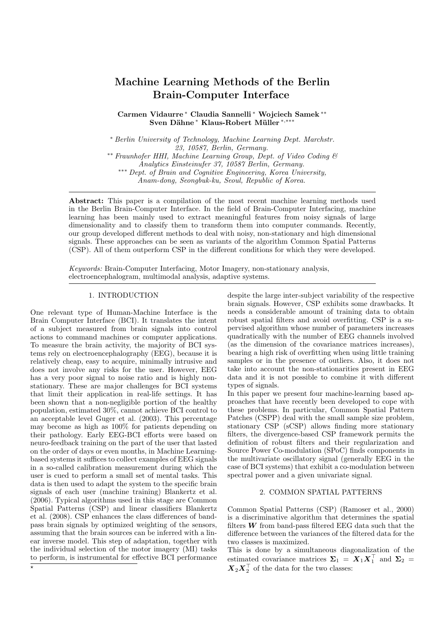# Machine Learning Methods of the Berlin Brain-Computer Interface

Carmen Vidaurre <sup>∗</sup> Claudia Sannelli <sup>∗</sup> Wojciech Samek ∗∗ Sven Dähne<sup>\*</sup> Klaus-Robert Müller<sup>\*,\*\*</sup>

<sup>∗</sup> Berlin University of Technology, Machine Learning Dept. Marchstr. 23, 10587, Berlin, Germany.

∗∗ Fraunhofer HHI, Machine Learning Group, Dept. of Video Coding & Analytics Einsteinufer 37, 10587 Berlin, Germany. ∗∗∗ Dept. of Brain and Cognitive Engineering, Korea University, Anam-dong, Seongbuk-ku, Seoul, Republic of Korea.

Abstract: This paper is a compilation of the most recent machine learning methods used in the Berlin Brain-Computer Interface. In the field of Brain-Computer Interfacing, machine learning has been mainly used to extract meaningful features from noisy signals of large dimensionality and to classify them to transform them into computer commands. Recently, our group developed different methods to deal with noisy, non-stationary and high dimensional signals. These approaches can be seen as variants of the algorithm Common Spatial Patterns (CSP). All of them outperform CSP in the different conditions for which they were developed.

Keywords: Brain-Computer Interfacing, Motor Imagery, non-stationary analysis, electroencephalogram, multimodal analysis, adaptive systems.

## 1. INTRODUCTION

One relevant type of Human-Machine Interface is the Brain Computer Interface (BCI). It translates the intent of a subject measured from brain signals into control actions to command machines or computer applications. To measure the brain activity, the majority of BCI systems rely on electroencephalography (EEG), because it is relatively cheap, easy to acquire, minimally intrusive and does not involve any risks for the user. However, EEG has a very poor signal to noise ratio and is highly nonstationary. These are major challenges for BCI systems that limit their application in real-life settings. It has been shown that a non-negligible portion of the healthy population, estimated 30%, cannot achieve BCI control to an acceptable level Guger et al. (2003). This percentage may become as high as 100% for patients depending on their pathology. Early EEG-BCI efforts were based on neuro-feedback training on the part of the user that lasted on the order of days or even months, in Machine Learningbased systems it suffices to collect examples of EEG signals in a so-called calibration measurement during which the user is cued to perform a small set of mental tasks. This data is then used to adapt the system to the specific brain signals of each user (machine training) Blankertz et al. (2006). Typical algorithms used in this stage are Common Spatial Patterns (CSP) and linear classifiers Blankertz et al. (2008). CSP enhances the class differences of bandpass brain signals by optimized weighting of the sensors, assuming that the brain sources can be inferred with a linear inverse model. This step of adaptation, together with the individual selection of the motor imagery (MI) tasks to perform, is instrumental for effective BCI performance

despite the large inter-subject variability of the respective brain signals. However, CSP exhibits some drawbacks. It needs a considerable amount of training data to obtain robust spatial filters and avoid overfitting. CSP is a supervised algorithm whose number of parameters increases quadratically with the number of EEG channels involved (as the dimension of the covariance matrices increases), bearing a high risk of overfitting when using little training samples or in the presence of outliers. Also, it does not take into account the non-stationarities present in EEG data and it is not possible to combine it with different types of signals.

In this paper we present four machine-learning based approaches that have recently been developed to cope with these problems. In particular, Common Spatial Pattern Patches (CSPP) deal with the small sample size problem, stationary CSP (sCSP) allows finding more stationary filters, the divergence-based CSP framework permits the definition of robust filters and their regularization and Source Power Co-modulation (SPoC) finds components in the multivariate oscillatory signal (generally EEG in the case of BCI systems) that exhibit a co-modulation between spectral power and a given univariate signal.

## 2. COMMON SPATIAL PATTERNS

Common Spatial Patterns (CSP) (Ramoser et al., 2000) is a discriminative algorithm that determines the spatial filters  $W$  from band-pass filtered EEG data such that the difference between the variances of the filtered data for the two classes is maximized.

This is done by a simultaneous diagonalization of the estimated covariance matrices  $\Sigma_1 = X_1 X_1^{\top}$  and  $\Sigma_2 =$  $\boldsymbol{X}_2\boldsymbol{X}_2^\top$  of the data for the two classes: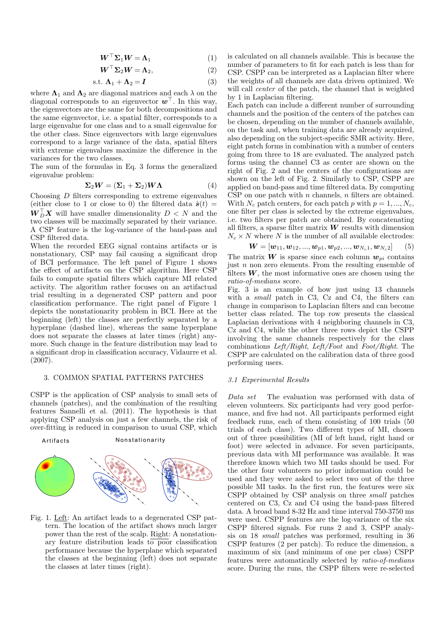$$
\boldsymbol{W}^{\top} \boldsymbol{\Sigma}_1 \boldsymbol{W} = \boldsymbol{\Lambda}_1 \tag{1}
$$

$$
\boldsymbol{W}^{\top} \boldsymbol{\Sigma}_2 \boldsymbol{W} = \boldsymbol{\Lambda}_2, \tag{2}
$$

$$
s.t. \Lambda_1 + \Lambda_2 = I \tag{3}
$$

where  $\Lambda_1$  and  $\Lambda_2$  are diagonal matrices and each  $\lambda$  on the diagonal corresponds to an eigenvector  $\boldsymbol{w}^{\top}$ . In this way, the eigenvectors are the same for both decompositions and the same eigenvector, i.e. a spatial filter, corresponds to a large eigenvalue for one class and to a small eigenvalue for the other class. Since eigenvectors with large eigenvalues correspond to a large variance of the data, spatial filters with extreme eigenvalues maximize the difference in the variances for the two classes.

The sum of the formulas in Eq. 3 forms the generalized eigenvalue problem:

$$
\Sigma_2 W = (\Sigma_1 + \Sigma_2) W \Lambda \tag{4}
$$

Choosing D filters corresponding to extreme eigenvalues (either close to 1 or close to 0) the filtered data  $\hat{\bm{s}}(t)$  =  $\boldsymbol{W}_{D}^{\top} \boldsymbol{X}$  will have smaller dimensionality  $D \langle N \rangle$  and the two classes will be maximally separated by their variance. A CSP feature is the log-variance of the band-pass and CSP filtered data.

When the recorded EEG signal contains artifacts or is nonstationary, CSP may fail causing a significant drop of BCI performance. The left panel of Figure 1 shows the effect of artifacts on the CSP algorithm. Here CSP fails to compute spatial filters which capture MI related activity. The algorithm rather focuses on an artifactual trial resulting in a degenerated CSP pattern and poor classification performance. The right panel of Figure 1 depicts the nonstationarity problem in BCI. Here at the beginning (left) the classes are perfectly separated by a hyperplane (dashed line), whereas the same hyperplane does not separate the classes at later times (right) anymore. Such change in the feature distribution may lead to a significant drop in classification accuracy, Vidaurre et al. (2007).

## 3. COMMON SPATIAL PATTERNS PATCHES

CSPP is the application of CSP analysis to small sets of channels (patches), and the combination of the resulting features Sannelli et al. (2011). The hypothesis is that applying CSP analysis on just a few channels, the risk of over-fitting is reduced in comparison to usual CSP, which



Fig. 1. Left: An artifact leads to a degenerated CSP pattern. The location of the artifact shows much larger power than the rest of the scalp. Right: A nonstationary feature distribution leads to poor classification performance because the hyperplane which separated the classes at the beginning (left) does not separate the classes at later times (right).

is calculated on all channels available. This is because the number of parameters to fit for each patch is less than for CSP. CSPP can be interpreted as a Laplacian filter where the weights of all channels are data driven optimized. We will call *center* of the patch, the channel that is weighted by 1 in Laplacian filtering.

Each patch can include a different number of surrounding channels and the position of the centers of the patches can be chosen, depending on the number of channels available, on the task and, when training data are already acquired, also depending on the subject-specific SMR activity. Here, eight patch forms in combination with a number of centers going from three to 18 are evaluated. The analyzed patch forms using the channel C3 as center are shown on the right of Fig. 2 and the centers of the configurations are shown on the left of Fig. 2. Similarly to CSP, CSPP are applied on band-pass and time filtered data. By computing CSP on one patch with  $n$  channels,  $n$  filters are obtained. With  $N_c$  patch centers, for each patch p with  $p = 1, ..., N_c$ , one filter per class is selected by the extreme eigenvalues, i.e. two filters per patch are obtained. By concatenating all filters, a sparse filter matrix  $W$  results with dimension  $N_c \times N$  where N is the number of all available electrodes:

$$
\mathbf{W} = [\mathbf{w}_{11}, \mathbf{w}_{12}, ..., \mathbf{w}_{p1}, \mathbf{w}_{p2}, ..., \mathbf{w}_{N_c 1}, \mathbf{w}_{N_c 2}] \tag{5}
$$

The matrix  $W$  is sparse since each column  $w_{pi}$  contains just  $n$  non zero elements. From the resulting ensemble of filters  $W$ , the most informative ones are chosen using the ratio-of-medians score.

Fig. 3 is an example of how just using 13 channels with a *small* patch in C3, Cz and C4, the filters can change in comparison to Laplacian filters and can become better class related. The top row presents the classical Laplacian derivations with 4 neighboring channels in C3, Cz and C4, while the other three rows depict the CSPP involving the same channels respectively for the class combinations Left/Right, Left/Foot and Foot/Right. The CSPP are calculated on the calibration data of three good performing users.

## 3.1 Experimental Results

Data set The evaluation was performed with data of eleven volunteers. Six participants had very good performance, and five had not. All participants performed eight feedback runs, each of them consisting of 100 trials (50 trials of each class). Two different types of MI, chosen out of three possibilities (MI of left hand, right hand or foot) were selected in advance. For seven participants, previous data with MI performance was available. It was therefore known which two MI tasks should be used. For the other four volunteers no prior information could be used and they were asked to select two out of the three possible MI tasks. In the first run, the features were six CSPP obtained by CSP analysis on three small patches centered on C3, Cz and C4 using the band-pass filtered data. A broad band 8-32 Hz and time interval 750-3750 ms were used. CSPP features are the log-variance of the six CSPP filtered signals. For runs 2 and 3, CSPP analysis on 18 small patches was performed, resulting in 36 CSPP features (2 per patch). To reduce the dimension, a maximum of six (and minimum of one per class) CSPP features were automatically selected by ratio-of-medians score. During the runs, the CSPP filters were re-selected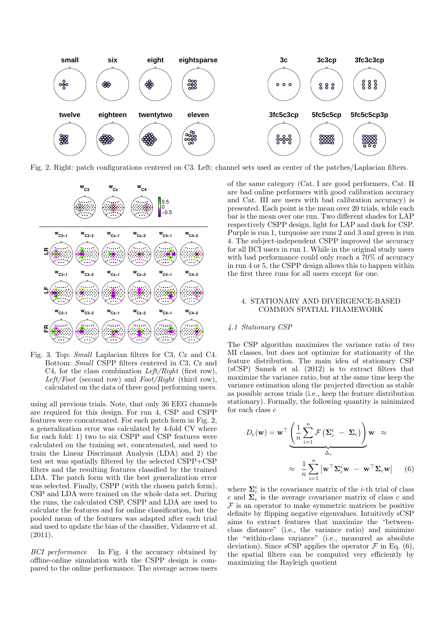

Fig. 2. Right: patch configurations centered on C3. Left: channel sets used as center of the patches/Laplacian filters.



Fig. 3. Top: Small Laplacian filters for C3, Cz and C4. Bottom: Small CSPP filters centered in C3, Cz and C4, for the class combination  $Left/Right$  (first row), Left/Foot (second row) and  $Foot/Right$  (third row), calculated on the data of three good performing users.

using all previous trials. Note, that only 36 EEG channels are required for this design. For run 4, CSP and CSPP features were concatenated. For each patch form in Fig. 2, a generalization error was calculated by 4-fold CV where for each fold: 1) two to six CSPP and CSP features were calculated on the training set, concatenated, and used to train the Linear Discrimant Analysis (LDA) and 2) the test set was spatially filtered by the selected CSPP+CSP filters and the resulting features classified by the trained LDA. The patch form with the best generalization error was selected. Finally, CSPP (with the chosen patch form), CSP and LDA were trained on the whole data set. During the runs, the calculated CSP, CSPP and LDA are used to calculate the features and for online classification, but the pooled mean of the features was adapted after each trial and used to update the bias of the classifier, Vidaurre et al.  $(2011).$ 

BCI performance In Fig. 4 the accuracy obtained by offline-online simulation with the CSPP design is compared to the online performance. The average across users of the same category (Cat. I are good performers, Cat. II are bad online performers with good calibration accuracy and Cat. III are users with bad calibration accuracy) is presented. Each point is the mean over 20 trials, while each bar is the mean over one run. Two different shades for LAP respectively CSPP design, light for LAP and dark for CSP. Purple is run 1, turquoise are runs 2 and 3 and green is run 4. The subject-independent CSPP improved the accuracy for all BCI users in run 1. While in the original study users with bad performance could only reach a 70% of accuracy in run 4 or 5, the CSPP design allows this to happen within the first three runs for all users except for one.

## 4. STATIONARY AND DIVERGENCE-BASED COMMON SPATIAL FRAMEWORK

#### 4.1 Stationary CSP

The CSP algorithm maximizes the variance ratio of two MI classes, but does not optimize for stationarity of the feature distribution. The main idea of stationary CSP (sCSP) Samek et al. (2012) is to extract filters that maximize the variance ratio, but at the same time keep the variance estimation along the projected direction as stable as possible across trials (i.e., keep the feature distribution stationary). Formally, the following quantity is minimized for each class c

$$
D_c(\mathbf{w}) = \mathbf{w}^\top \underbrace{\left(\frac{1}{n} \sum_{i=1}^n \mathcal{F} \left(\mathbf{\Sigma}_c^i - \mathbf{\Sigma}_c\right)\right)}_{\Delta_c} \mathbf{w} \approx
$$

$$
\approx \frac{1}{n} \sum_{i=1}^n \left| \mathbf{w}^\top \mathbf{\Sigma}_c^i \mathbf{w} - \mathbf{w}^\top \mathbf{\Sigma}_c \mathbf{w} \right| \qquad (6)
$$

where  $\Sigma_c^i$  is the covariance matrix of the *i*-th trial of class c and  $\Sigma_c$  is the average covariance matrix of class c and  $\mathcal F$  is an operator to make symmetric matrices be positive definite by flipping negative eigenvalues. Intuitively sCSP aims to extract features that maximize the "betweenclass distance" (i.e., the variance ratio) and minimize the "within-class variance" (i.e., measured as absolute deviation). Since sCSP applies the operator  $\mathcal F$  in Eq. (6), the spatial filters can be computed very efficiently by maximizing the Rayleigh quotient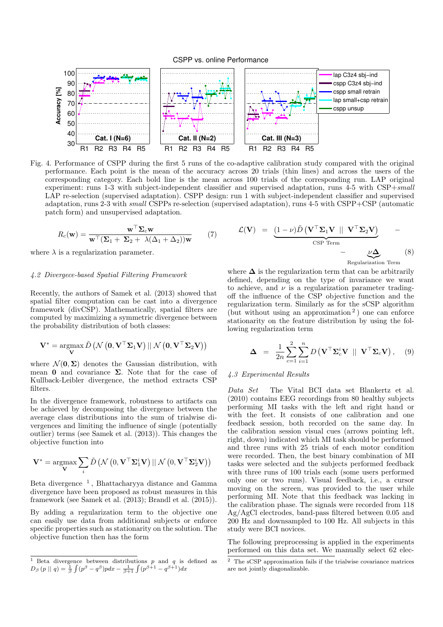

Fig. 4. Performance of CSPP during the first 5 runs of the co-adaptive calibration study compared with the original performance. Each point is the mean of the accuracy across 20 trials (thin lines) and across the users of the corresponding category. Each bold line is the mean across 100 trials of the corresponding run. LAP original experiment: runs 1-3 with subject-independent classifier and supervised adaptation, runs 4-5 with CSP+small LAP re-selection (supervised adaptation). CSPP design: run 1 with subject-independent classifier and supervised adaptation, runs 2-3 with small CSPPs re-selection (supervised adaptation), runs 4-5 with CSPP+CSP (automatic patch form) and unsupervised adaptation.

$$
R_c(\mathbf{w}) = \frac{\mathbf{w}^\top \Sigma_c \mathbf{w}}{\mathbf{w}^\top (\Sigma_1 + \Sigma_2 + \lambda(\Delta_1 + \Delta_2)) \mathbf{w}} \qquad (7)
$$

where  $\lambda$  is a regularization parameter.

#### 4.2 Divergece-based Spatial Filtering Framework

Recently, the authors of Samek et al. (2013) showed that spatial filter computation can be cast into a divergence framework (divCSP). Mathematically, spatial filters are computed by maximizing a symmetric divergence between the probability distribution of both classes:

$$
\mathbf{V}^* = \operatorname*{argmax}_{\mathbf{V}} \tilde{D} \left( \mathcal{N} \left( \mathbf{0}, \mathbf{V}^\top \mathbf{\Sigma}_1 \mathbf{V} \right) || \mathcal{N} \left( \mathbf{0}, \mathbf{V}^\top \mathbf{\Sigma}_2 \mathbf{V} \right) \right)
$$

where  $\mathcal{N}(\mathbf{0}, \Sigma)$  denotes the Gaussian distribution, with mean 0 and covariance  $\Sigma$ . Note that for the case of Kullback-Leibler divergence, the method extracts CSP filters.

In the divergence framework, robustness to artifacts can be achieved by decomposing the divergence between the average class distributions into the sum of trialwise divergences and limiting the influence of single (potentially outlier) terms (see Samek et al. (2013)). This changes the objective function into

$$
\mathbf{V}^* = \mathop{\mathrm{argmax}}_{\mathbf{V}} \sum_i \tilde{D} \left( \mathcal{N} \left( 0, \mathbf{V}^\top \mathbf{\Sigma}_1^i \mathbf{V} \right) || \ \mathcal{N} \left( 0, \mathbf{V}^\top \mathbf{\Sigma}_2^i \mathbf{V} \right) \right)
$$

Beta divergence<sup>1</sup>, Bhattacharyya distance and Gamma divergence have been proposed as robust measures in this framework (see Samek et al. (2013); Brandl et al. (2015)).

By adding a regularization term to the objective one can easily use data from additional subjects or enforce specific properties such as stationarity on the solution. The objective function then has the form

$$
\mathcal{L}(\mathbf{V}) = \underbrace{(1-\nu)\tilde{D}(\mathbf{V}^{\top}\Sigma_{1}\mathbf{V} \parallel \mathbf{V}^{\top}\Sigma_{2}\mathbf{V})}_{\text{CSP Term}} - \underbrace{\nu\Delta}_{\text{Regularization Term}} \tag{8}
$$

where  $\Delta$  is the regularization term that can be arbitrarily defined, depending on the type of invariance we want to achieve, and  $\nu$  is a regularization parameter tradingoff the influence of the CSP objective function and the regularization term. Similarly as for the sCSP algorithm (but without using an approximation <sup>2</sup> ) one can enforce stationarity on the feature distribution by using the following regularization term

$$
\Delta = \frac{1}{2n} \sum_{c=1}^{2} \sum_{i=1}^{n} D\left(\mathbf{V}^{\top} \mathbf{\Sigma}_{c}^{i} \mathbf{V} \parallel \mathbf{V}^{\top} \mathbf{\Sigma}_{c} \mathbf{V}\right), \quad (9)
$$

## 4.3 Experimental Results

Data Set The Vital BCI data set Blankertz et al. (2010) contains EEG recordings from 80 healthy subjects performing MI tasks with the left and right hand or with the feet. It consists of one calibration and one feedback session, both recorded on the same day. In the calibration session visual cues (arrows pointing left, right, down) indicated which MI task should be performed and three runs with 25 trials of each motor condition were recorded. Then, the best binary combination of MI tasks were selected and the subjects performed feedback with three runs of 100 trials each (some users performed only one or two runs). Visual feedback, i.e., a cursor moving on the screen, was provided to the user while performing MI. Note that this feedback was lacking in the calibration phase. The signals were recorded from 118 Ag/AgCl electrodes, band-pass filtered between 0.05 and 200 Hz and downsampled to 100 Hz. All subjects in this study were BCI novices.

The following preprocessing is applied in the experiments performed on this data set. We manually select 62 elec-

<sup>&</sup>lt;sup>1</sup> Beta divergence between distributions  $p$  and  $q$  is defined as  $D_\beta(p \mid\mid q) = \frac{1}{\beta}\int (p^\beta - q^\beta)p dx - \frac{1}{\beta+1}\int (p^{\beta+1} - q^{\beta+1})dx$ 

<sup>&</sup>lt;sup>2</sup> The sCSP approximation fails if the trialwise covariance matrices are not jointly diagonalizable.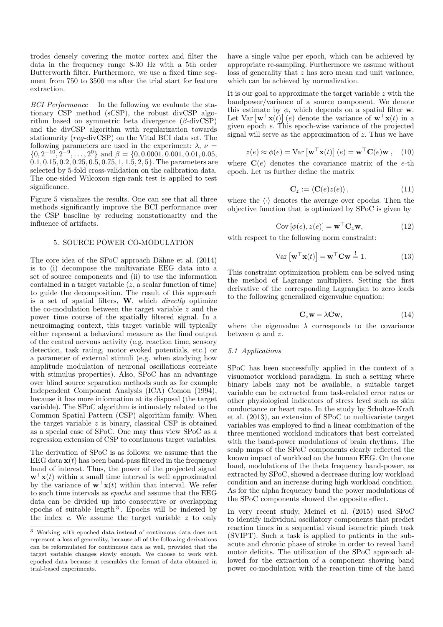trodes densely covering the motor cortex and filter the data in the frequency range 8-30 Hz with a 5th order Butterworth filter. Furthermore, we use a fixed time segment from 750 to 3500 ms after the trial start for feature extraction.

BCI Performance In the following we evaluate the stationary CSP method (sCSP), the robust divCSP algorithm based on symmetric beta divergence  $(\beta$ -divCSP) and the divCSP algorithm with regularization towards stationarity (reg-divCSP) on the Vital BCI data set. The following parameters are used in the experiment:  $\lambda$ ,  $\nu$  =  $\{0, 2^{-10}, 2^{-9}, \ldots, 2^{0}\}$  and  $\beta = \{0, 0.0001, 0.001, 0.01, 0.05,$  $0.1, 0.15, 0.2, 0.25, 0.5, 0.75, 1, 1.5, 2, 5$ . The parameters are selected by 5-fold cross-validation on the calibration data. The one-sided Wilcoxon sign-rank test is applied to test significance.

Figure 5 visualizes the results. One can see that all three methods significantly improve the BCI performance over the CSP baseline by reducing nonstationarity and the influence of artifacts.

### 5. SOURCE POWER CO-MODULATION

The core idea of the SPoC approach Dähne et al. (2014) is to (i) decompose the multivariate EEG data into a set of source components and (ii) to use the information contained in a target variable  $(z, a \text{ scalar function of time})$ to guide the decomposition. The result of this approach is a set of spatial filters,  $W$ , which *directly* optimize the co-modulation between the target variable z and the power time course of the spatially filtered signal. In a neuroimaging context, this target variable will typically either represent a behavioral measure as the final output of the central nervous activity (e.g. reaction time, sensory detection, task rating, motor evoked potentials, etc.) or a parameter of external stimuli (e.g. when studying how amplitude modulation of neuronal oscillations correlate with stimulus properties). Also, SPoC has an advantage over blind source separation methods such as for example Independent Component Analysis (ICA) Comon (1994), because it has more information at its disposal (the target variable). The SPoC algorithm is intimately related to the Common Spatial Pattern (CSP) algorithm family. When the target variable  $z$  is binary, classical CSP is obtained as a special case of SPoC. One may thus view SPoC as a regression extension of CSP to continuous target variables.

The derivation of SPoC is as follows: we assume that the EEG data  $\mathbf{x}(t)$  has been band-pass filtered in the frequency band of interest. Thus, the power of the projected signal  $\mathbf{w}^{\top}\mathbf{x}(t)$  within a small time interval is well approximated by the variance of  $\mathbf{w}^{\top}\mathbf{x}(t)$  within that interval. We refer to such time intervals as epochs and assume that the EEG data can be divided up into consecutive or overlapping epochs of suitable length <sup>3</sup> . Epochs will be indexed by the index e. We assume the target variable z to only

have a single value per epoch, which can be achieved by appropriate re-sampling. Furthermore we assume without loss of generality that z has zero mean and unit variance, which can be achieved by normalization.

It is our goal to approximate the target variable z with the bandpower/variance of a source component. We denote this estimate by  $\phi$ , which depends on a spatial filter w. Let  $\text{Var}[\mathbf{w}^\top \mathbf{x}(t)]$  (e) denote the variance of  $\mathbf{w}^\top \mathbf{x}(t)$  in a given epoch e. This epoch-wise variance of the projected signal will serve as the approximation of  $z$ . Thus we have

$$
z(e) \approx \phi(e) = \text{Var}\left[\mathbf{w}^\top \mathbf{x}(t)\right](e) = \mathbf{w}^\top \mathbf{C}(e) \mathbf{w}, \quad (10)
$$

where  $\mathbf{C}(e)$  denotes the covariance matrix of the e-th epoch. Let us further define the matrix

$$
\mathbf{C}_z := \langle \mathbf{C}(e) z(e) \rangle, \tag{11}
$$

where the  $\langle \cdot \rangle$  denotes the average over epochs. Then the objective function that is optimized by SPoC is given by

$$
Cov\left[\phi(e), z(e)\right] = \mathbf{w}^\top \mathbf{C}_z \mathbf{w},\tag{12}
$$

with respect to the following norm constraint:

$$
\text{Var}\left[\mathbf{w}^{\top}\mathbf{x}(t)\right] = \mathbf{w}^{\top}\mathbf{C}\mathbf{w} \stackrel{!}{=} 1.
$$
 (13)

This constraint optimization problem can be solved using the method of Lagrange multipliers. Setting the first derivative of the corresponding Lagrangian to zero leads to the following generalized eigenvalue equation:

$$
C_z w = \lambda C w, \qquad (14)
$$

where the eigenvalue  $\lambda$  corresponds to the covariance between  $\phi$  and z.

## 5.1 Applications

SPoC has been successfully applied in the context of a visuomotor workload paradigm. In such a setting where binary labels may not be available, a suitable target variable can be extracted from task-related error rates or other physiological indicators of stress level such as skin conductance or heart rate. In the study by Schultze-Kraft et al. (2013), an extension of SPoC to multivariate target variables was employed to find a linear combination of the three mentioned workload indicators that best correlated with the band-power modulations of brain rhythms. The scalp maps of the SPoC components clearly reflected the known impact of workload on the human EEG. On the one hand, modulations of the theta frequency band-power, as extracted by SPoC, showed a decrease during low workload condition and an increase during high workload condition. As for the alpha frequency band the power modulations of the SPoC components showed the opposite effect.

In very recent study, Meinel et al. (2015) used SPoC to identify individual oscillatory components that predict reaction times in a sequential visual isometric pinch task (SVIPT). Such a task is applied to patients in the subacute and chronic phase of stroke in order to reveal hand motor deficits. The utilization of the SPoC approach allowed for the extraction of a component showing band power co-modulation with the reaction time of the hand

<sup>3</sup> Working with epoched data instead of continuous data does not represent a loss of generality, because all of the following derivations can be reformulated for continuous data as well, provided that the target variable changes slowly enough. We choose to work with epoched data because it resembles the format of data obtained in trial-based experiments.